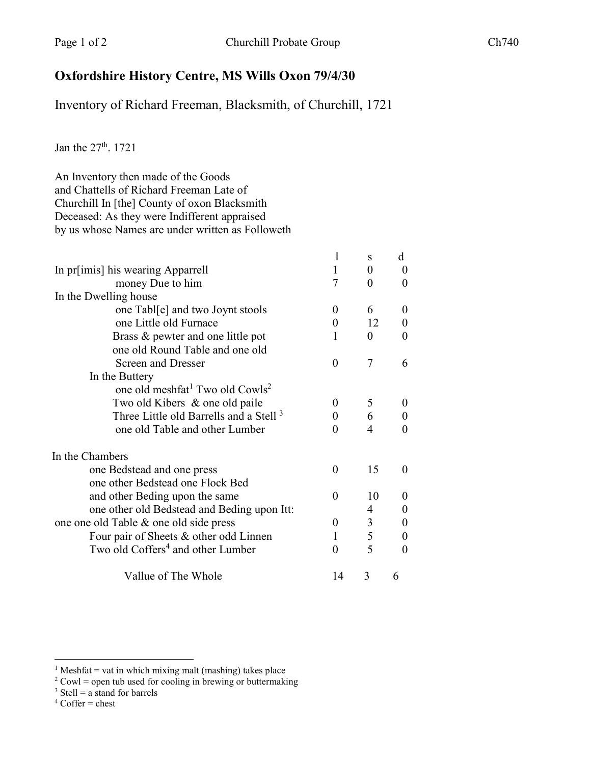## **Oxfordshire History Centre, MS Wills Oxon 79/4/30**

Inventory of Richard Freeman, Blacksmith, of Churchill, 1721

Jan the 27<sup>th</sup>. 1721

An Inventory then made of the Goods and Chattells of Richard Freeman Late of Churchill In [the] County of oxon Blacksmith Deceased: As they were Indifferent appraised by us whose Names are under written as Followeth

|                                                         |                | S        | d                 |
|---------------------------------------------------------|----------------|----------|-------------------|
| In pr[imis] his wearing Apparrell                       | 1              | $\Omega$ | $\mathbf{\Omega}$ |
| money Due to him                                        | 7              | $\Omega$ |                   |
| In the Dwelling house                                   |                |          |                   |
| one Tabl[e] and two Joynt stools                        | $\Omega$       | 6        | $\theta$          |
| one Little old Furnace                                  | 0              | 12       | 0                 |
| Brass & pewter and one little pot                       | 1              | $\theta$ | $_{0}$            |
| one old Round Table and one old                         |                |          |                   |
| <b>Screen and Dresser</b>                               | $\overline{0}$ | 7        | 6                 |
| In the Buttery                                          |                |          |                   |
| one old meshfat <sup>1</sup> Two old Cowls <sup>2</sup> |                |          |                   |
| Two old Kibers & one old paile                          | $\theta$       | 5        | $\theta$          |
| Three Little old Barrells and a Stell <sup>3</sup>      | 0              | 6        |                   |
| one old Table and other Lumber                          | 0              | 4        |                   |
| In the Chambers                                         |                |          |                   |
| one Bedstead and one press                              | 0              | 15       | $\mathbf{\Omega}$ |
| one other Bedstead one Flock Bed                        |                |          |                   |
| and other Beding upon the same                          | 0              | 10       | $\mathbf{0}$      |
| one other old Bedstead and Beding upon Itt:             |                | 4        | $\theta$          |
| one one old Table & one old side press                  | $\theta$       | 3        | $\theta$          |
| Four pair of Sheets & other odd Linnen                  |                | 5        | 0                 |
| Two old Coffers <sup>4</sup> and other Lumber           | $\theta$       | 5        | 0                 |
| Vallue of The Whole                                     | 14             | 3        | 6                 |

- $3$  Stell = a stand for barrels
- $^4$  Coffer = chest

<sup>&</sup>lt;sup>1</sup> Meshfat = vat in which mixing malt (mashing) takes place

 $2$  Cowl = open tub used for cooling in brewing or buttermaking